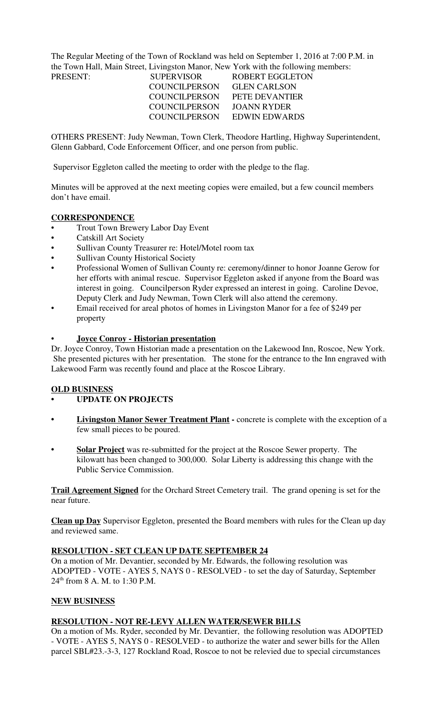The Regular Meeting of the Town of Rockland was held on September 1, 2016 at 7:00 P.M. in the Town Hall, Main Street, Livingston Manor, New York with the following members:

| <b>SUPERVISOR</b>    | ROBERT EGGLETON     |
|----------------------|---------------------|
| <b>COUNCILPERSON</b> | <b>GLEN CARLSON</b> |
| <b>COUNCILPERSON</b> | PETE DEVANTIER      |
| <b>COUNCILPERSON</b> | JOANN RYDER         |
| COUNCIL PERSON       | EDWIN EDWARDS       |
|                      |                     |

OTHERS PRESENT: Judy Newman, Town Clerk, Theodore Hartling, Highway Superintendent, Glenn Gabbard, Code Enforcement Officer, and one person from public.

Supervisor Eggleton called the meeting to order with the pledge to the flag.

Minutes will be approved at the next meeting copies were emailed, but a few council members don't have email.

## **CORRESPONDENCE**

- Trout Town Brewery Labor Day Event
- Catskill Art Society
- Sullivan County Treasurer re: Hotel/Motel room tax
- Sullivan County Historical Society
- Professional Women of Sullivan County re: ceremony/dinner to honor Joanne Gerow for her efforts with animal rescue. Supervisor Eggleton asked if anyone from the Board was interest in going. Councilperson Ryder expressed an interest in going. Caroline Devoe, Deputy Clerk and Judy Newman, Town Clerk will also attend the ceremony.
- Email received for areal photos of homes in Livingston Manor for a fee of \$249 per property

## • **Joyce Conroy - Historian presentation**

Dr. Joyce Conroy, Town Historian made a presentation on the Lakewood Inn, Roscoe, New York. She presented pictures with her presentation. The stone for the entrance to the Inn engraved with Lakewood Farm was recently found and place at the Roscoe Library.

## **OLD BUSINESS**

- **UPDATE ON PROJECTS**
- **Livingston Manor Sewer Treatment Plant** concrete is complete with the exception of a few small pieces to be poured.
- **Solar Project** was re-submitted for the project at the Roscoe Sewer property. The kilowatt has been changed to 300,000. Solar Liberty is addressing this change with the Public Service Commission.

**Trail Agreement Signed** for the Orchard Street Cemetery trail. The grand opening is set for the near future.

**Clean up Day** Supervisor Eggleton, presented the Board members with rules for the Clean up day and reviewed same.

## **RESOLUTION - SET CLEAN UP DATE SEPTEMBER 24**

On a motion of Mr. Devantier, seconded by Mr. Edwards, the following resolution was ADOPTED - VOTE - AYES 5, NAYS 0 - RESOLVED - to set the day of Saturday, September 24th from 8 A. M. to 1:30 P.M.

# **NEW BUSINESS**

## **RESOLUTION - NOT RE-LEVY ALLEN WATER/SEWER BILLS**

On a motion of Ms. Ryder, seconded by Mr. Devantier, the following resolution was ADOPTED - VOTE - AYES 5, NAYS 0 - RESOLVED - to authorize the water and sewer bills for the Allen parcel SBL#23.-3-3, 127 Rockland Road, Roscoe to not be relevied due to special circumstances